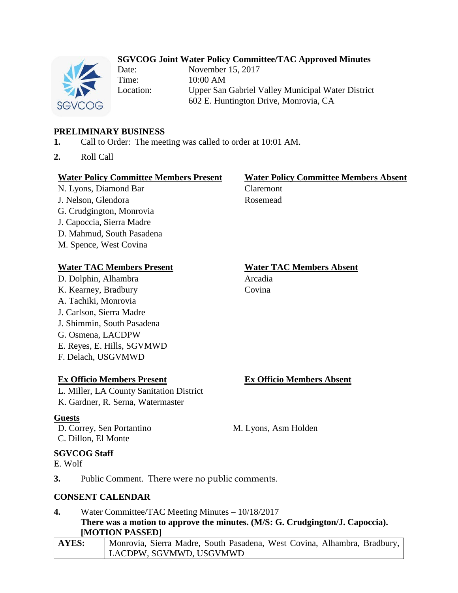## **SGVCOG Joint Water Policy Committee/TAC Approved Minutes**



Date: November 15, 2017 Time: 10:00 AM Location: Upper San Gabriel Valley Municipal Water District 602 E. Huntington Drive, Monrovia, CA

## **PRELIMINARY BUSINESS**

- **1.** Call to Order: The meeting was called to order at 10:01 AM.
- **2.** Roll Call

### **Water Policy Committee Members Present Water Policy Committee Members Absent**

N. Lyons, Diamond Bar Claremont J. Nelson, Glendora Rosemead G. Crudgington, Monrovia J. Capoccia, Sierra Madre D. Mahmud, South Pasadena M. Spence, West Covina

### **Water TAC Members Present Water TAC Members Absent**

D. Dolphin, Alhambra Arcadia K. Kearney, Bradbury Covina A. Tachiki, Monrovia J. Carlson, Sierra Madre J. Shimmin, South Pasadena G. Osmena, LACDPW E. Reyes, E. Hills, SGVMWD F. Delach, USGVMWD

## **Ex Officio Members Present Ex Officio Members Absent**

L. Miller, LA County Sanitation District K. Gardner, R. Serna, Watermaster

## **Guests**

D. Correy, Sen Portantino M. Lyons, Asm Holden C. Dillon, El Monte

## **SGVCOG Staff**

E. Wolf

**3.** Public Comment. There were no public comments.

### **CONSENT CALENDAR**

### **4.** Water Committee/TAC Meeting Minutes – 10/18/2017 **There was a motion to approve the minutes. (M/S: G. Crudgington/J. Capoccia). [MOTION PASSED]**

## **AYES:** Monrovia, Sierra Madre, South Pasadena, West Covina, Alhambra, Bradbury, LACDPW, SGVMWD, USGVMWD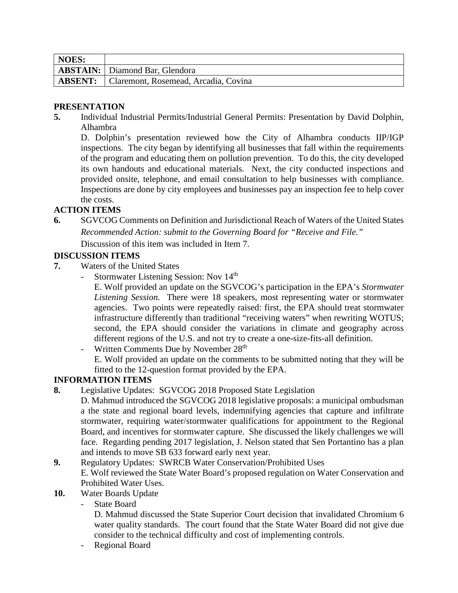| NOES: |                                                     |
|-------|-----------------------------------------------------|
|       | <b>ABSTAIN:</b> Diamond Bar, Glendora               |
|       | <b>ABSENT:</b> Claremont, Rosemead, Arcadia, Covina |

## **PRESENTATION**

**5.** Individual Industrial Permits/Industrial General Permits: Presentation by David Dolphin, Alhambra

D. Dolphin's presentation reviewed how the City of Alhambra conducts IIP/IGP inspections. The city began by identifying all businesses that fall within the requirements of the program and educating them on pollution prevention. To do this, the city developed its own handouts and educational materials. Next, the city conducted inspections and provided onsite, telephone, and email consultation to help businesses with compliance. Inspections are done by city employees and businesses pay an inspection fee to help cover the costs.

## **ACTION ITEMS**

**6.** SGVCOG Comments on Definition and Jurisdictional Reach of Waters of the United States *Recommended Action: submit to the Governing Board for "Receive and File."* Discussion of this item was included in Item 7.

## **DISCUSSION ITEMS**

- **7.** Waters of the United States
	- Stormwater Listening Session: Nov 14<sup>th</sup>

E. Wolf provided an update on the SGVCOG's participation in the EPA's *Stormwater Listening Session.* There were 18 speakers, most representing water or stormwater agencies. Two points were repeatedly raised: first, the EPA should treat stormwater infrastructure differently than traditional "receiving waters" when rewriting WOTUS; second, the EPA should consider the variations in climate and geography across different regions of the U.S. and not try to create a one-size-fits-all definition.

- Written Comments Due by November 28<sup>th</sup> E. Wolf provided an update on the comments to be submitted noting that they will be fitted to the 12-question format provided by the EPA.

## **INFORMATION ITEMS**

**8.** Legislative Updates: SGVCOG 2018 Proposed State Legislation

D. Mahmud introduced the SGVCOG 2018 legislative proposals: a municipal ombudsman a the state and regional board levels, indemnifying agencies that capture and infiltrate stormwater, requiring water/stormwater qualifications for appointment to the Regional Board, and incentives for stormwater capture. She discussed the likely challenges we will face. Regarding pending 2017 legislation, J. Nelson stated that Sen Portantino has a plan and intends to move SB 633 forward early next year.

### **9.** Regulatory Updates: SWRCB Water Conservation/Prohibited Uses E. Wolf reviewed the State Water Board's proposed regulation on Water Conservation and Prohibited Water Uses.

- **10.** Water Boards Update
	- State Board

D. Mahmud discussed the State Superior Court decision that invalidated Chromium 6 water quality standards. The court found that the State Water Board did not give due consider to the technical difficulty and cost of implementing controls.

- Regional Board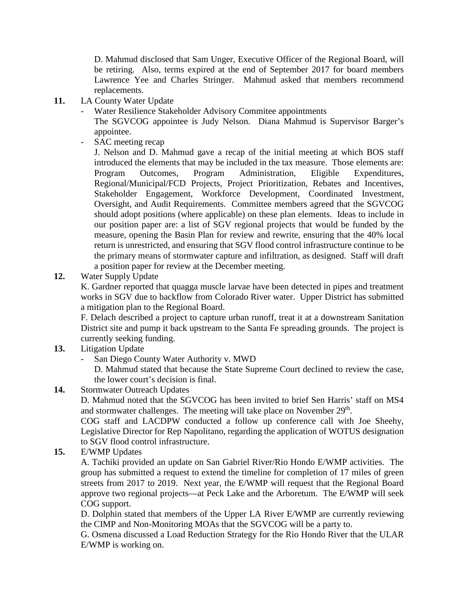D. Mahmud disclosed that Sam Unger, Executive Officer of the Regional Board, will be retiring. Also, terms expired at the end of September 2017 for board members Lawrence Yee and Charles Stringer. Mahmud asked that members recommend replacements.

- **11.** LA County Water Update
	- Water Resilience Stakeholder Advisory Commitee appointments

The SGVCOG appointee is Judy Nelson. Diana Mahmud is Supervisor Barger's appointee.

SAC meeting recap

J. Nelson and D. Mahmud gave a recap of the initial meeting at which BOS staff introduced the elements that may be included in the tax measure. Those elements are: Program Outcomes, Program Administration, Eligible Expenditures, Regional/Municipal/FCD Projects, Project Prioritization, Rebates and Incentives, Stakeholder Engagement, Workforce Development, Coordinated Investment, Oversight, and Audit Requirements. Committee members agreed that the SGVCOG should adopt positions (where applicable) on these plan elements. Ideas to include in our position paper are: a list of SGV regional projects that would be funded by the measure, opening the Basin Plan for review and rewrite, ensuring that the 40% local return is unrestricted, and ensuring that SGV flood control infrastructure continue to be the primary means of stormwater capture and infiltration, as designed. Staff will draft a position paper for review at the December meeting.

**12.** Water Supply Update

K. Gardner reported that quagga muscle larvae have been detected in pipes and treatment works in SGV due to backflow from Colorado River water. Upper District has submitted a mitigation plan to the Regional Board.

F. Delach described a project to capture urban runoff, treat it at a downstream Sanitation District site and pump it back upstream to the Santa Fe spreading grounds. The project is currently seeking funding.

- **13.** Litigation Update
	- San Diego County Water Authority v. MWD
		- D. Mahmud stated that because the State Supreme Court declined to review the case, the lower court's decision is final.
- **14.** Stormwater Outreach Updates

D. Mahmud noted that the SGVCOG has been invited to brief Sen Harris' staff on MS4 and stormwater challenges. The meeting will take place on November 29<sup>th</sup>.

COG staff and LACDPW conducted a follow up conference call with Joe Sheehy, Legislative Director for Rep Napolitano, regarding the application of WOTUS designation to SGV flood control infrastructure.

**15.** E/WMP Updates

A. Tachiki provided an update on San Gabriel River/Rio Hondo E/WMP activities. The group has submitted a request to extend the timeline for completion of 17 miles of green streets from 2017 to 2019. Next year, the E/WMP will request that the Regional Board approve two regional projects—at Peck Lake and the Arboretum. The E/WMP will seek COG support.

D. Dolphin stated that members of the Upper LA River E/WMP are currently reviewing the CIMP and Non-Monitoring MOAs that the SGVCOG will be a party to.

G. Osmena discussed a Load Reduction Strategy for the Rio Hondo River that the ULAR E/WMP is working on.